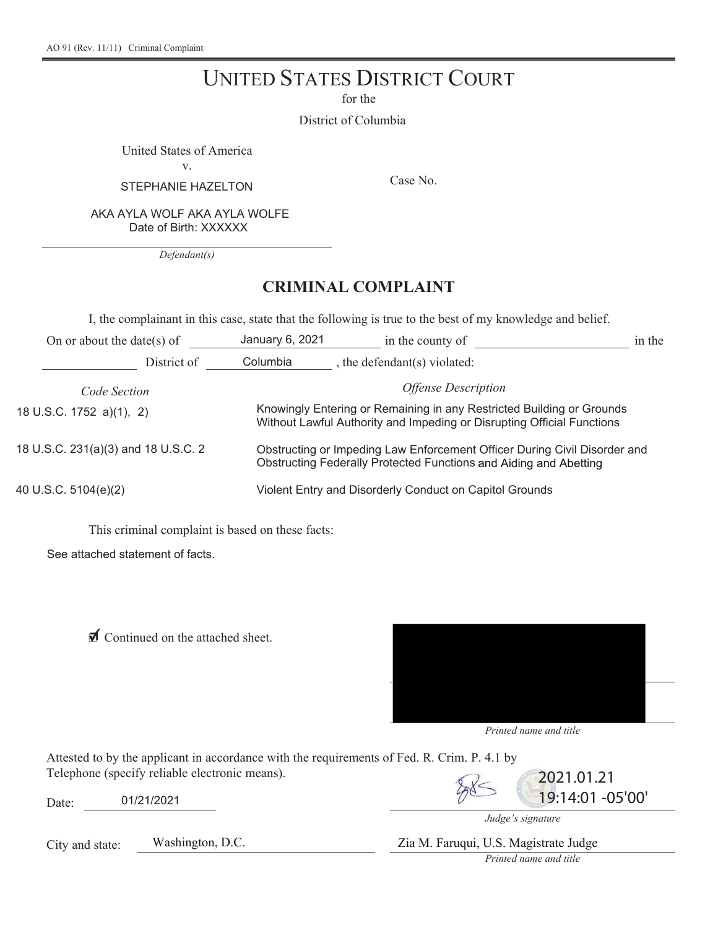# UNITED STATES DISTRICT COURT

for the

District of Columbia

United States of America

Y

STEPHANIE HAZELTON Case No.

AKA AYLA WOLF AKA AYLA WOLFE Date of Birth: XXXXXX

*Defendant(s)* 

## **CRIMINAL COMPLAINT**

I, the complainant in this case, state that the following is true to the best of my knowledge and belief.

| On or about the date(s) of          | January 6, 2021                                                                                                                                 | in the county of                  | in the |
|-------------------------------------|-------------------------------------------------------------------------------------------------------------------------------------------------|-----------------------------------|--------|
| District of                         | Columbia                                                                                                                                        | , the defendant(s) violated:      |        |
| Code Section                        |                                                                                                                                                 | <i><b>Offense Description</b></i> |        |
| 18 U.S.C. 1752 a)(1), 2)            | Knowingly Entering or Remaining in any Restricted Building or Grounds<br>Without Lawful Authority and Impeding or Disrupting Official Functions |                                   |        |
| 18 U.S.C. 231(a)(3) and 18 U.S.C. 2 | Obstructing or Impeding Law Enforcement Officer During Civil Disorder and<br>Obstructing Federally Protected Functions and Aiding and Abetting  |                                   |        |
| 40 U.S.C. 5104(e)(2)                | Violent Entry and Disorderly Conduct on Capitol Grounds                                                                                         |                                   |        |

This criminal complaint is based on these facts:

See attached statement of facts.

**I** Continued on the attached sheet.



*Printed name and title* 

Attested to by the applicant in accordance with the requirements of Fed. R. Crim. P. 4.1 by Telephone (specify reliable electronic means).  $\sqrt{2}$  2021.01.21

Date: 01/21/2021 01/21/2021 01/21/2021 01/21/2021 01/21/2021

*Judge's signature* 

City and state: Washington, D.C. Zia M. Faruqui, U.S. Magistrate Judge

*Printed name and title*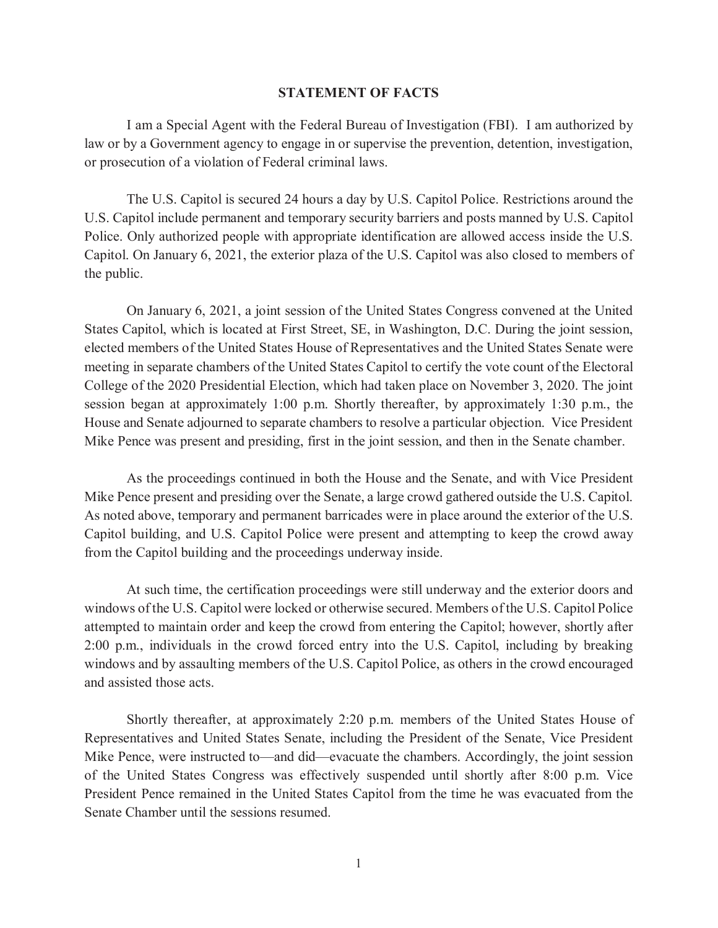#### **STATEMENT OF FACTS**

 or prosecution of a violation of Federal criminal laws. I am a Special Agent with the Federal Bureau of Investigation (FBI). I am authorized by law or by a Government agency to engage in or supervise the prevention, detention, investigation,

 U.S. Capitol include permanent and temporary security barriers and posts manned by U.S. Capitol The U.S. Capitol is secured 24 hours a day by U.S. Capitol Police. Restrictions around the Police. Only authorized people with appropriate identification are allowed access inside the U.S. Capitol. On January 6, 2021, the exterior plaza of the U.S. Capitol was also closed to members of the public.

 States Capitol, which is located at First Street, SE, in Washington, D.C. During the joint session, meeting in separate chambers of the United States Capitol to certify the vote count of the Electoral College of the 2020 Presidential Election, which had taken place on November 3, 2020. The joint On January 6, 2021, a joint session of the United States Congress convened at the United elected members of the United States House of Representatives and the United States Senate were session began at approximately 1:00 p.m. Shortly thereafter, by approximately 1:30 p.m., the House and Senate adjourned to separate chambers to resolve a particular objection. Vice President Mike Pence was present and presiding, first in the joint session, and then in the Senate chamber.

 As noted above, temporary and permanent barricades were in place around the exterior of the U.S. from the Capitol building and the proceedings underway inside. As the proceedings continued in both the House and the Senate, and with Vice President Mike Pence present and presiding over the Senate, a large crowd gathered outside the U.S. Capitol. Capitol building, and U.S. Capitol Police were present and attempting to keep the crowd away

 windows of the U.S. Capitol were locked or otherwise secured. Members of the U.S. Capitol Police 2:00 p.m., individuals in the crowd forced entry into the U.S. Capitol, including by breaking windows and by assaulting members of the U.S. Capitol Police, as others in the crowd encouraged At such time, the certification proceedings were still underway and the exterior doors and attempted to maintain order and keep the crowd from entering the Capitol; however, shortly after and assisted those acts.

Shortly thereafter, at approximately 2:20 p.m. members of the United States House of Representatives and United States Senate, including the President of the Senate, Vice President Mike Pence, were instructed to—and did—evacuate the chambers. Accordingly, the joint session of the United States Congress was effectively suspended until shortly after 8:00 p.m. Vice President Pence remained in the United States Capitol from the time he was evacuated from the Senate Chamber until the sessions resumed.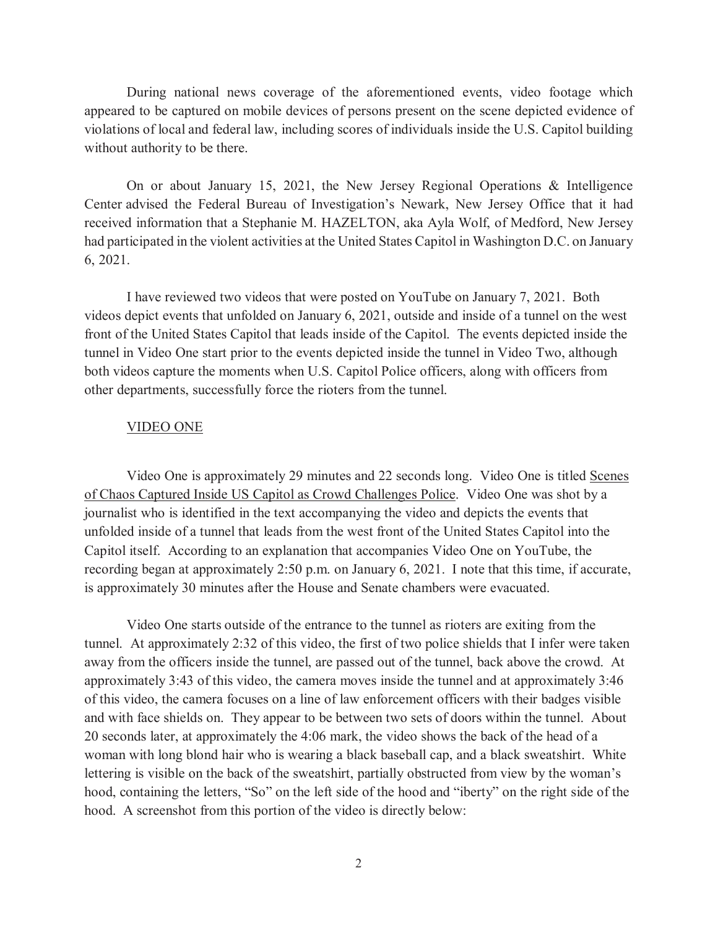violations of local and federal law, including scores of individuals inside the U.S. Capitol building During national news coverage of the aforementioned events, video footage which appeared to be captured on mobile devices of persons present on the scene depicted evidence of without authority to be there.

 had participated in the violent activities at the United States Capitol in Washington D.C. on January  $6, 2021.$  6, 2021. I have reviewed two videos that were posted on YouTube on January 7, 2021. Both On or about January 15, 2021, the New Jersey Regional Operations & Intelligence Center advised the Federal Bureau of Investigation's Newark, New Jersey Office that it had received information that a Stephanie M. HAZELTON, aka Ayla Wolf, of Medford, New Jersey

 tunnel in Video One start prior to the events depicted inside the tunnel in Video Two, although both videos capture the moments when U.S. Capitol Police officers, along with officers from videos depict events that unfolded on January 6, 2021, outside and inside of a tunnel on the west front of the United States Capitol that leads inside of the Capitol. The events depicted inside the other departments, successfully force the rioters from the tunnel.

#### VIDEO ONE

 journalist who is identified in the text accompanying the video and depicts the events that unfolded inside of a tunnel that leads from the west front of the United States Capitol into the recording began at approximately 2:50 p.m. on January 6, 2021. I note that this time, if accurate, Video One is approximately 29 minutes and 22 seconds long. Video One is titled Scenes of Chaos Captured Inside US Capitol as Crowd Challenges Police. Video One was shot by a Capitol itself. According to an explanation that accompanies Video One on YouTube, the is approximately 30 minutes after the House and Senate chambers were evacuated.

 tunnel. At approximately 2:32 of this video, the first of two police shields that I infer were taken away from the officers inside the tunnel, are passed out of the tunnel, back above the crowd. At of this video, the camera focuses on a line of law enforcement officers with their badges visible and with face shields on. They appear to be between two sets of doors within the tunnel. About lettering is visible on the back of the sweatshirt, partially obstructed from view by the woman's hood, containing the letters, "So" on the left side of the hood and "iberty" on the right side of the hood. A screenshot from this portion of the video is directly below: Video One starts outside of the entrance to the tunnel as rioters are exiting from the approximately 3:43 of this video, the camera moves inside the tunnel and at approximately 3:46 20 seconds later, at approximately the 4:06 mark, the video shows the back of the head of a woman with long blond hair who is wearing a black baseball cap, and a black sweatshirt. White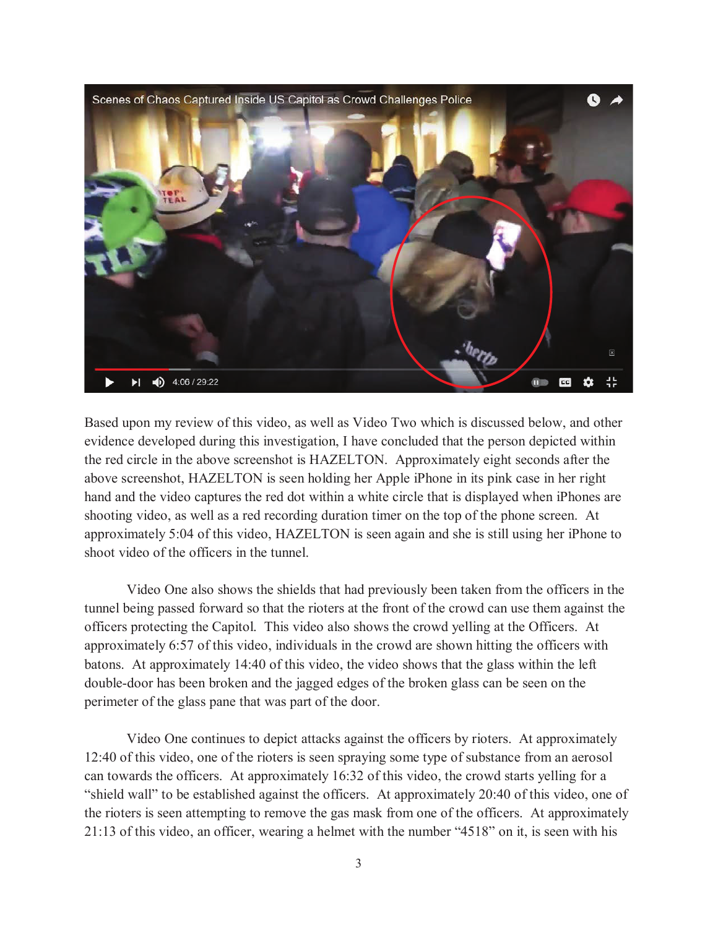

 Based upon my review of this video, as well as Video Two which is discussed below, and other above screenshot, HAZELTON is seen holding her Apple iPhone in its pink case in her right shooting video, as well as a red recording duration timer on the top of the phone screen. At approximately 5:04 of this video, HAZELTON is seen again and she is still using her iPhone to evidence developed during this investigation, I have concluded that the person depicted within the red circle in the above screenshot is HAZELTON. Approximately eight seconds after the hand and the video captures the red dot within a white circle that is displayed when iPhones are shoot video of the officers in the tunnel.

 Video One also shows the shields that had previously been taken from the officers in the tunnel being passed forward so that the rioters at the front of the crowd can use them against the batons. At approximately 14:40 of this video, the video shows that the glass within the left perimeter of the glass pane that was part of the door. officers protecting the Capitol. This video also shows the crowd yelling at the Officers. At approximately 6:57 of this video, individuals in the crowd are shown hitting the officers with double-door has been broken and the jagged edges of the broken glass can be seen on the

 can towards the officers. At approximately 16:32 of this video, the crowd starts yelling for a "shield wall" to be established against the officers. At approximately 20:40 of this video, one of the rioters is seen attempting to remove the gas mask from one of the officers. At approximately 21:13 of this video, an officer, wearing a helmet with the number "4518" on it, is seen with his Video One continues to depict attacks against the officers by rioters. At approximately 12:40 of this video, one of the rioters is seen spraying some type of substance from an aerosol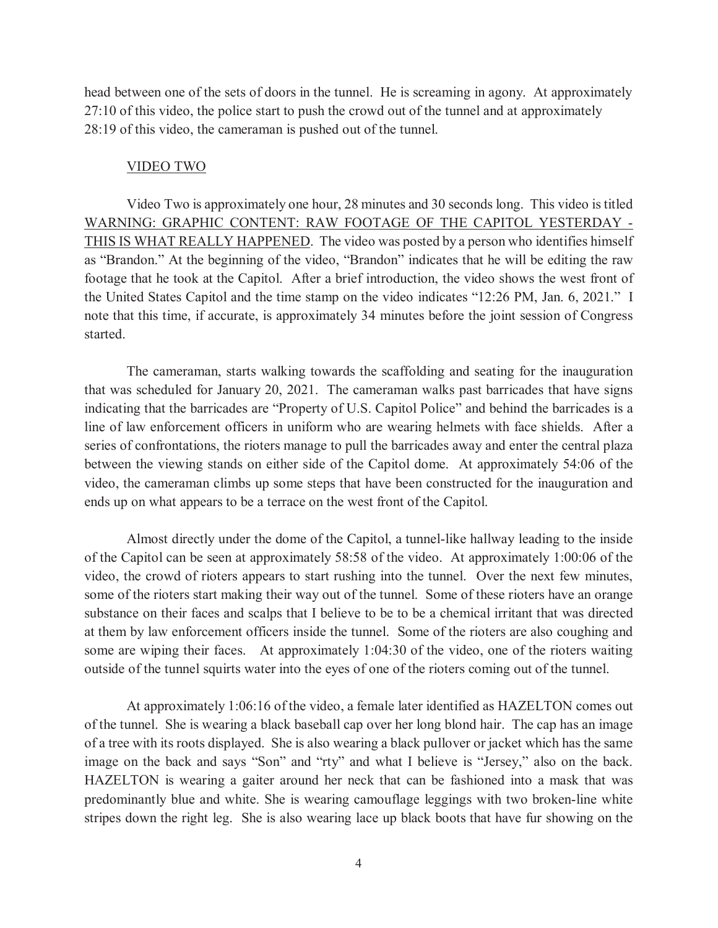28:19 of this video, the cameraman is pushed out of the tunnel.<br>VIDEO TWO head between one of the sets of doors in the tunnel. He is screaming in agony. At approximately 27:10 of this video, the police start to push the crowd out of the tunnel and at approximately

 Video Two is approximately one hour, 28 minutes and 30 seconds long. This video is titled THIS IS WHAT REALLY HAPPENED. The video was posted by a person who identifies himself the United States Capitol and the time stamp on the video indicates "12:26 PM, Jan. 6, 2021." I note that this time, if accurate, is approximately 34 minutes before the joint session of Congress started. WARNING: GRAPHIC CONTENT: RAW FOOTAGE OF THE CAPITOL YESTERDAY as "Brandon." At the beginning of the video, "Brandon" indicates that he will be editing the raw footage that he took at the Capitol. After a brief introduction, the video shows the west front of

 that was scheduled for January 20, 2021. The cameraman walks past barricades that have signs The cameraman, starts walking towards the scaffolding and seating for the inauguration indicating that the barricades are "Property of U.S. Capitol Police" and behind the barricades is a line of law enforcement officers in uniform who are wearing helmets with face shields. After a series of confrontations, the rioters manage to pull the barricades away and enter the central plaza between the viewing stands on either side of the Capitol dome. At approximately 54:06 of the video, the cameraman climbs up some steps that have been constructed for the inauguration and ends up on what appears to be a terrace on the west front of the Capitol.

 Almost directly under the dome of the Capitol, a tunnel-like hallway leading to the inside some of the rioters start making their way out of the tunnel. Some of these rioters have an orange substance on their faces and scalps that I believe to be to be a chemical irritant that was directed at them by law enforcement officers inside the tunnel. Some of the rioters are also coughing and outside of the tunnel squirts water into the eyes of one of the rioters coming out of the tunnel. of the Capitol can be seen at approximately 58:58 of the video. At approximately 1:00:06 of the video, the crowd of rioters appears to start rushing into the tunnel. Over the next few minutes, some are wiping their faces. At approximately 1:04:30 of the video, one of the rioters waiting

 of the tunnel. She is wearing a black baseball cap over her long blond hair. The cap has an image image on the back and says "Son" and "rty" and what I believe is "Jersey," also on the back. HAZELTON is wearing a gaiter around her neck that can be fashioned into a mask that was stripes down the right leg. She is also wearing lace up black boots that have fur showing on the At approximately 1:06:16 of the video, a female later identified as HAZELTON comes out of a tree with its roots displayed. She is also wearing a black pullover or jacket which has the same predominantly blue and white. She is wearing camouflage leggings with two broken-line white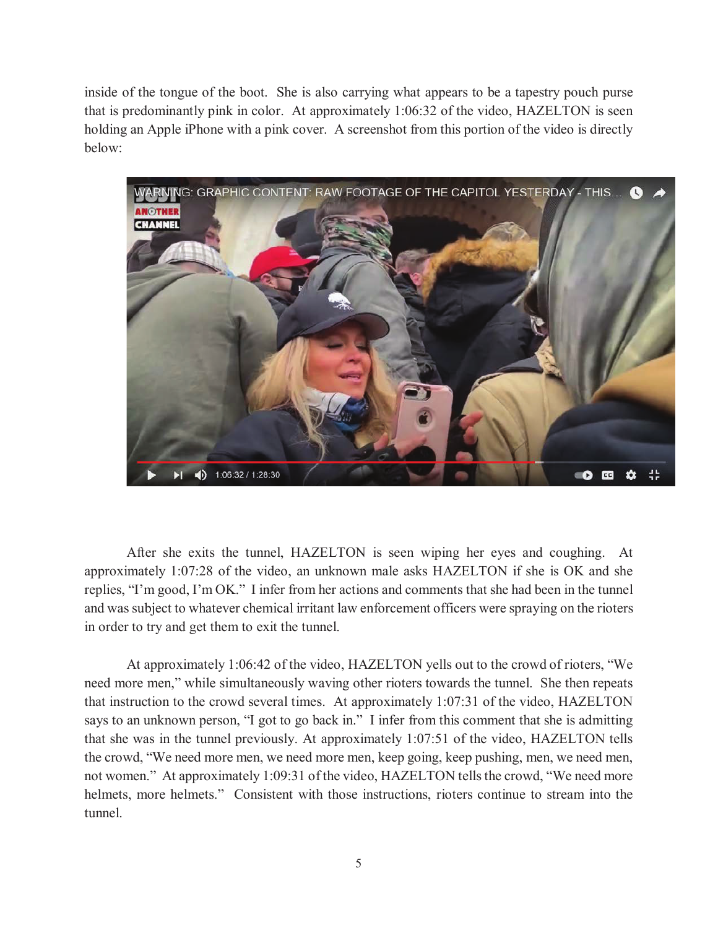inside of the tongue of the boot. She is also carrying what appears to be a tapestry pouch purse holding an Apple iPhone with a pink cover. A screenshot from this portion of the video is directly that is predominantly pink in color. At approximately 1:06:32 of the video, HAZELTON is seen below:



 replies, "I'm good, I'm OK." I infer from her actions and comments that she had been in the tunnel in order to try and get them to exit the tunnel. After she exits the tunnel, HAZELTON is seen wiping her eyes and coughing. At approximately 1:07:28 of the video, an unknown male asks HAZELTON if she is OK and she and was subject to whatever chemical irritant law enforcement officers were spraying on the rioters

 At approximately 1:06:42 of the video, HAZELTON yells out to the crowd of rioters, "We says to an unknown person, "I got to go back in." I infer from this comment that she is admitting helmets, more helmets." Consistent with those instructions, rioters continue to stream into the need more men," while simultaneously waving other rioters towards the tunnel. She then repeats that instruction to the crowd several times. At approximately 1:07:31 of the video, HAZELTON that she was in the tunnel previously. At approximately 1:07:51 of the video, HAZELTON tells the crowd, "We need more men, we need more men, keep going, keep pushing, men, we need men, not women." At approximately 1:09:31 of the video, HAZELTON tells the crowd, "We need more tunnel.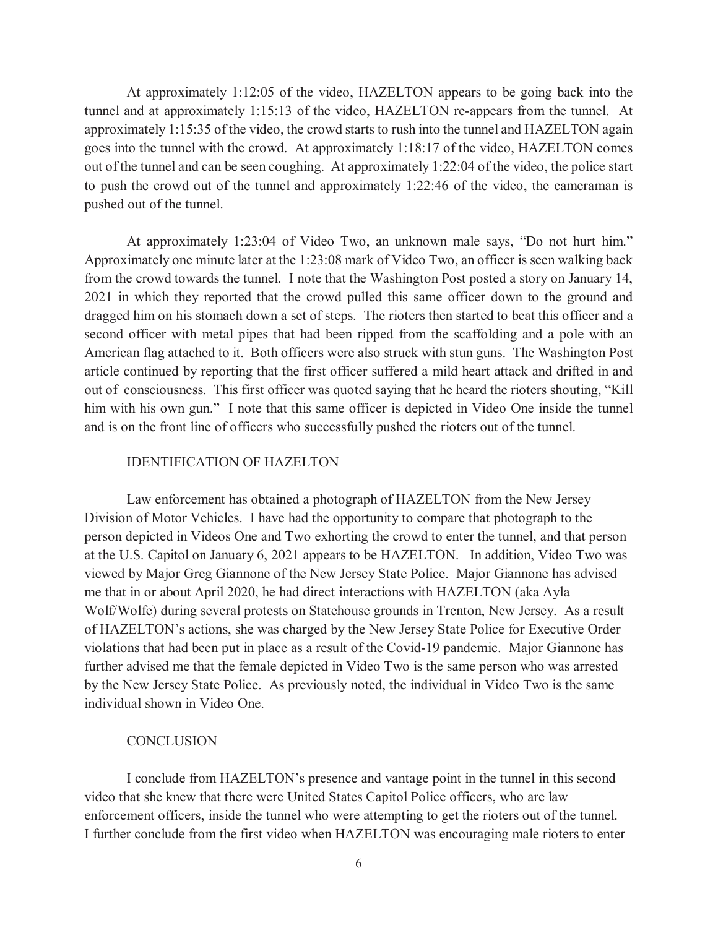At approximately 1:12:05 of the video, HAZELTON appears to be going back into the goes into the tunnel with the crowd. At approximately 1:18:17 of the video, HAZELTON comes out of the tunnel and can be seen coughing. At approximately 1:22:04 of the video, the police start to push the crowd out of the tunnel and approximately 1:22:46 of the video, the cameraman is pushed out of the tunnel. pushed out of the tunnel.<br>
At approximately 1:23:04 of Video Two, an unknown male says, "Do not hurt him." tunnel and at approximately 1:15:13 of the video, HAZELTON re-appears from the tunnel. At approximately 1:15:35 of the video, the crowd starts to rush into the tunnel and HAZELTON again

 from the crowd towards the tunnel. I note that the Washington Post posted a story on January 14, dragged him on his stomach down a set of steps. The rioters then started to beat this officer and a second officer with metal pipes that had been ripped from the scaffolding and a pole with an American flag attached to it. Both officers were also struck with stun guns. The Washington Post article continued by reporting that the first officer suffered a mild heart attack and drifted in and out of consciousness. This first officer was quoted saying that he heard the rioters shouting, "Kill and is on the front line of officers who successfully pushed the rioters out of the tunnel. Approximately one minute later at the 1:23:08 mark of Video Two, an officer is seen walking back 2021 in which they reported that the crowd pulled this same officer down to the ground and him with his own gun." I note that this same officer is depicted in Video One inside the tunnel

#### IDENTIFICATION OF HAZELTON

 at the U.S. Capitol on January 6, 2021 appears to be HAZELTON. In addition, Video Two was me that in or about April 2020, he had direct interactions with HAZELTON (aka Ayla by the New Jersey State Police. As previously noted, the individual in Video Two is the same individual shown in Video One. Law enforcement has obtained a photograph of HAZELTON from the New Jersey Division of Motor Vehicles. I have had the opportunity to compare that photograph to the person depicted in Videos One and Two exhorting the crowd to enter the tunnel, and that person viewed by Major Greg Giannone of the New Jersey State Police. Major Giannone has advised Wolf/Wolfe) during several protests on Statehouse grounds in Trenton, New Jersey. As a result of HAZELTON's actions, she was charged by the New Jersey State Police for Executive Order violations that had been put in place as a result of the Covid-19 pandemic. Major Giannone has further advised me that the female depicted in Video Two is the same person who was arrested

#### **CONCLUSION**

 enforcement officers, inside the tunnel who were attempting to get the rioters out of the tunnel. I conclude from HAZELTON's presence and vantage point in the tunnel in this second video that she knew that there were United States Capitol Police officers, who are law I further conclude from the first video when HAZELTON was encouraging male rioters to enter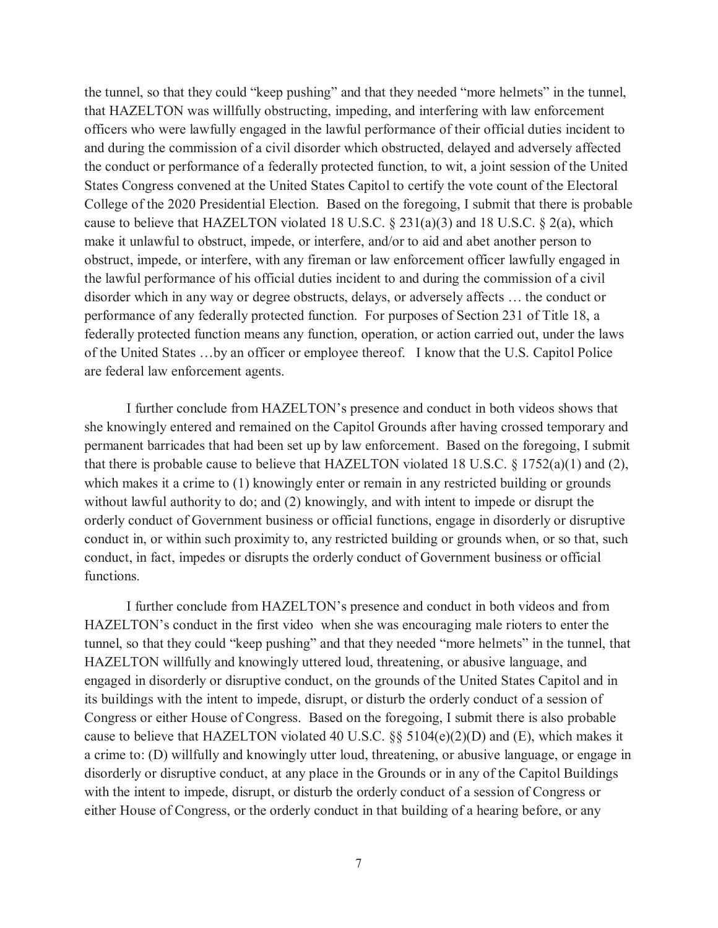the tunnel, so that they could "keep pushing" and that they needed "more helmets" in the tunnel, officers who were lawfully engaged in the lawful performance of their official duties incident to obstruct, impede, or interfere, with any fireman or law enforcement officer lawfully engaged in the lawful performance of his official duties incident to and during the commission of a civil disorder which in any way or degree obstructs, delays, or adversely affects … the conduct or federally protected function means any function, operation, or action carried out, under the laws of the United States …by an officer or employee thereof. I know that the U.S. Capitol Police are federal law enforcement agents. that HAZELTON was willfully obstructing, impeding, and interfering with law enforcement and during the commission of a civil disorder which obstructed, delayed and adversely affected the conduct or performance of a federally protected function, to wit, a joint session of the United States Congress convened at the United States Capitol to certify the vote count of the Electoral College of the 2020 Presidential Election. Based on the foregoing, I submit that there is probable cause to believe that HAZELTON violated 18 U.S.C.  $\S 231(a)(3)$  and 18 U.S.C.  $\S 2(a)$ , which make it unlawful to obstruct, impede, or interfere, and/or to aid and abet another person to performance of any federally protected function. For purposes of Section 231 of Title 18, a

 which makes it a crime to (1) knowingly enter or remain in any restricted building or grounds without lawful authority to do; and (2) knowingly, and with intent to impede or disrupt the orderly conduct of Government business or official functions, engage in disorderly or disruptive conduct in, or within such proximity to, any restricted building or grounds when, or so that, such conduct, in fact, impedes or disrupts the orderly conduct of Government business or official I further conclude from HAZELTON's presence and conduct in both videos shows that she knowingly entered and remained on the Capitol Grounds after having crossed temporary and permanent barricades that had been set up by law enforcement. Based on the foregoing, I submit that there is probable cause to believe that HAZELTON violated 18 U.S.C. § 1752(a)(1) and (2), functions.

 tunnel, so that they could "keep pushing" and that they needed "more helmets" in the tunnel, that its buildings with the intent to impede, disrupt, or disturb the orderly conduct of a session of cause to believe that HAZELTON violated 40 U.S.C.  $\S\S$  5104(e)(2)(D) and (E), which makes it either House of Congress, or the orderly conduct in that building of a hearing before, or any I further conclude from HAZELTON's presence and conduct in both videos and from HAZELTON's conduct in the first video when she was encouraging male rioters to enter the HAZELTON willfully and knowingly uttered loud, threatening, or abusive language, and engaged in disorderly or disruptive conduct, on the grounds of the United States Capitol and in Congress or either House of Congress. Based on the foregoing, I submit there is also probable a crime to: (D) willfully and knowingly utter loud, threatening, or abusive language, or engage in disorderly or disruptive conduct, at any place in the Grounds or in any of the Capitol Buildings with the intent to impede, disrupt, or disturb the orderly conduct of a session of Congress or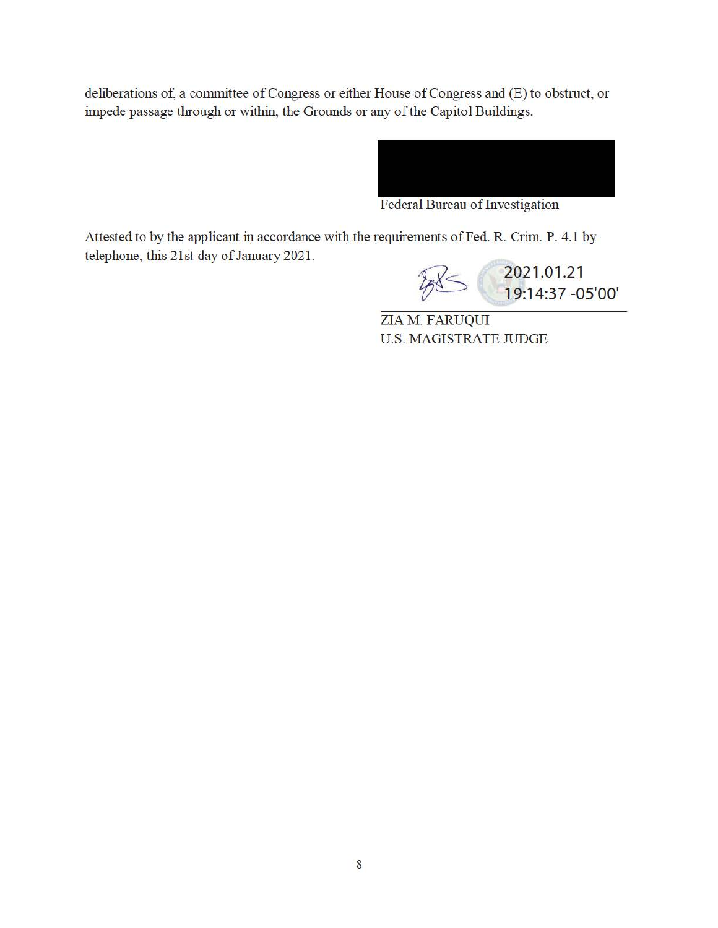deliberations of, a committee of Congress or either House of Congress and (E) to obstruct, or impede passage through or within, the Grounds or any of the Capitol Buildings.



Federal Bureau of Investigation

Attested to by the applicant in accordance with the requirements of Fed. R. Crim. P. 4.1 by telephone, this 21st day of January 2021.



ZIA M. FARUQUI U.S. MAGISTRATE JUDGE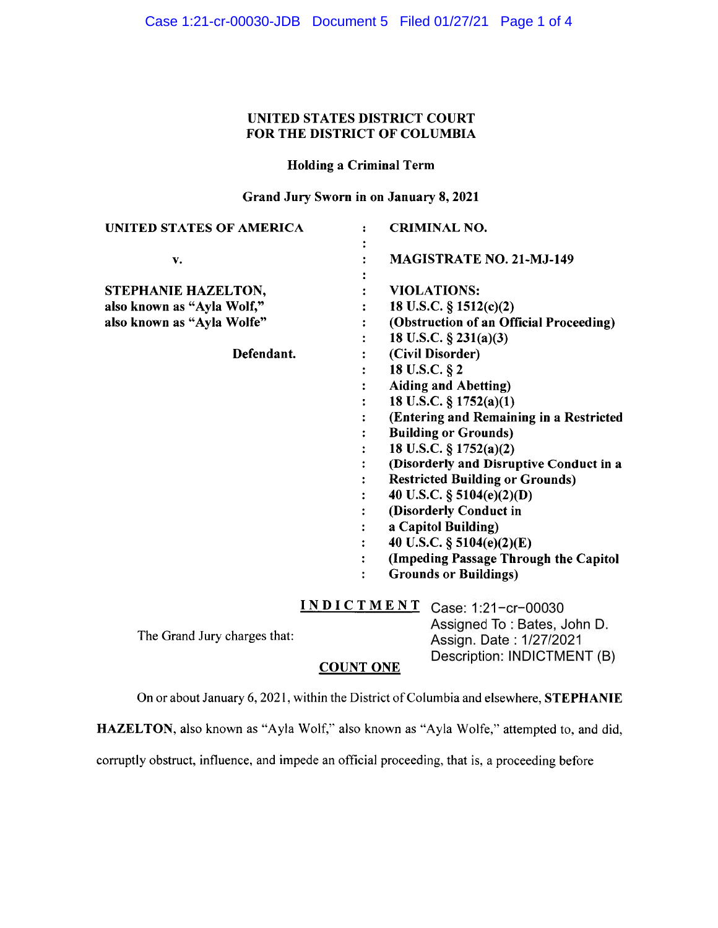### **UNITED STATES DISTRICT COURT FOR THE DISTRICT OF COLUMBIA**

#### **Holding a Criminal Term**

#### **Grand Jury Sworn in on January 8, 2021**

| <b>UNITED STATES OF AMERICA</b> |                                                                                                                                                                                                                                                            | <b>CRIMINAL NO.</b>                     |  |  |
|---------------------------------|------------------------------------------------------------------------------------------------------------------------------------------------------------------------------------------------------------------------------------------------------------|-----------------------------------------|--|--|
| v.                              |                                                                                                                                                                                                                                                            | <b>MAGISTRATE NO. 21-MJ-149</b>         |  |  |
| STEPHANIE HAZELTON,             |                                                                                                                                                                                                                                                            | <b>VIOLATIONS:</b>                      |  |  |
| also known as "Ayla Wolf,"      |                                                                                                                                                                                                                                                            | 18 U.S.C. $\S$ 1512(c)(2)               |  |  |
| also known as "Ayla Wolfe"      |                                                                                                                                                                                                                                                            | (Obstruction of an Official Proceeding) |  |  |
|                                 |                                                                                                                                                                                                                                                            | 18 U.S.C. $\S$ 231(a)(3)                |  |  |
| Defendant.                      | (Civil Disorder)                                                                                                                                                                                                                                           |                                         |  |  |
|                                 | 18 U.S.C. § 2                                                                                                                                                                                                                                              |                                         |  |  |
|                                 | <b>Aiding and Abetting)</b>                                                                                                                                                                                                                                |                                         |  |  |
|                                 | 18 U.S.C. § 1752(a)(1)                                                                                                                                                                                                                                     |                                         |  |  |
|                                 | (Entering and Remaining in a Restricted                                                                                                                                                                                                                    |                                         |  |  |
|                                 | <b>Building or Grounds)</b>                                                                                                                                                                                                                                |                                         |  |  |
|                                 | 18 U.S.C. § 1752(a)(2)                                                                                                                                                                                                                                     |                                         |  |  |
|                                 | (Disorderly and Disruptive Conduct in a<br><b>Restricted Building or Grounds)</b><br>40 U.S.C. $\S$ 5104(e)(2)(D)<br>(Disorderly Conduct in<br>a Capitol Building)<br>40 U.S.C. § 5104(e)(2)(E)<br>$\ddot{\cdot}$<br>(Impeding Passage Through the Capitol |                                         |  |  |
|                                 |                                                                                                                                                                                                                                                            |                                         |  |  |
|                                 |                                                                                                                                                                                                                                                            |                                         |  |  |
|                                 |                                                                                                                                                                                                                                                            |                                         |  |  |
|                                 |                                                                                                                                                                                                                                                            |                                         |  |  |
|                                 |                                                                                                                                                                                                                                                            |                                         |  |  |
|                                 |                                                                                                                                                                                                                                                            |                                         |  |  |
|                                 | <b>Grounds or Buildings)</b>                                                                                                                                                                                                                               |                                         |  |  |
|                                 |                                                                                                                                                                                                                                                            | INDICTMENT Case: 1:21-cr-00030          |  |  |
|                                 |                                                                                                                                                                                                                                                            | Assigned To: Bates, John D.             |  |  |
| The Grand Jury charges that:    |                                                                                                                                                                                                                                                            | Assign. Date: 1/27/2021                 |  |  |
|                                 |                                                                                                                                                                                                                                                            |                                         |  |  |
|                                 |                                                                                                                                                                                                                                                            | Description: INDICTMENT (B)             |  |  |

#### **COUNT ONE**

On or about January 6, 2021, within the District of Columbia and elsewhere, **STEPHANIE** 

**HAZELTON,** also known as "Ayla Wolf," also known as "Ayla Wolfe," attempted to, and did,

corruptly obstruct, influence, and impede an official proceeding, that is, a proceeding before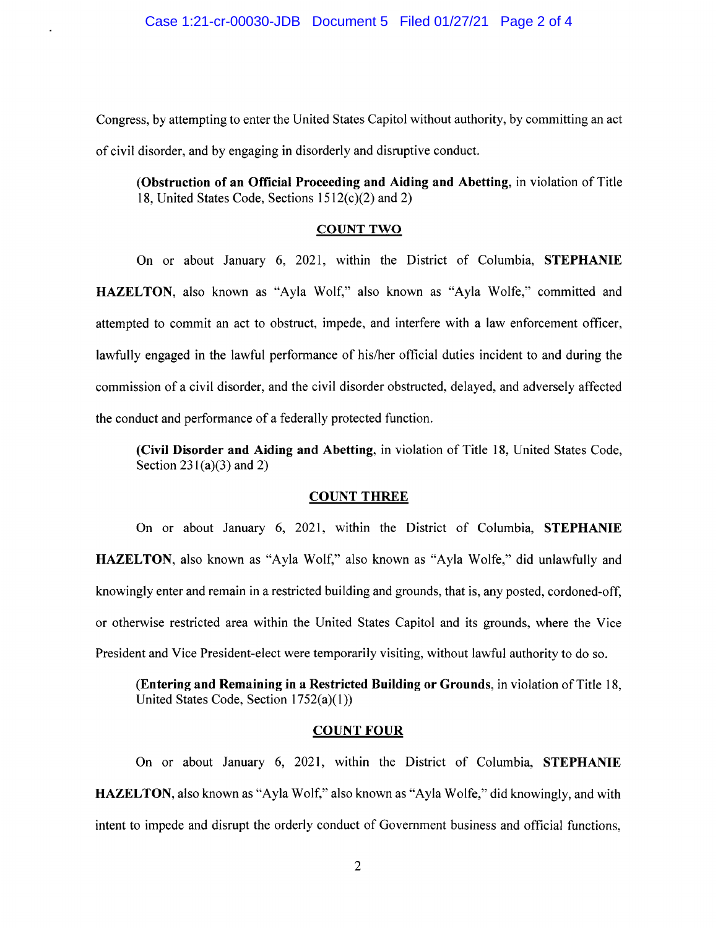Congress, by attempting to enter the United States Capitol without authority, by committing an act of civil disorder, and by engaging in disorderly and disruptive conduct.

**(Obstruction of an Official Proceeding and Aiding and Abetting,** in violation of Title 18, United States Code, Sections 1512(c)(2) and 2)

#### **COUNT TWO**

On or about January 6, 2021, within the District of Columbia, **STEPHANIE HAZELTON,** also known as "Ayla Wolf," also known as "Ayla Wolfe," committed and attempted to commit an act to obstruct, impede, and interfere with a law enforcement officer, lawfully engaged in the lawful performance of his/her official duties incident to and during the commission of a civil disorder, and the civil disorder obstructed, delayed, and adversely affected the conduct and performance of a federally protected function.

**(Civil Disorder and Aiding and Abetting,** in violation of Title 18, United States Code, Section  $231(a)(3)$  and 2)

#### **COUNT THREE**

On or about January 6, 2021, within the District of Columbia, **STEPHANIE HAZELTON,** also known as "Ayla Wolf," also known as "Ayla Wolfe," did unlawfully and knowingly enter and remain in a restricted building and grounds, that is, any posted, cordoned-off, or otherwise restricted area within the United States Capitol and its grounds, where the Vice President and Vice President-elect were temporarily visiting, without lawful authority to do so.

**(Entering and Remaining in a Restricted Building or Grounds,** in violation of Title 18, United States Code, Section 1752(a)(l))

#### **COUNT FOUR**

On or about January 6, 2021, within the District of Columbia, **STEPHANIE HAZELTON,** also known as "Ayla Wolf," also known as "Ayla Wolfe," did knowingly, and with intent to impede and disrupt the orderly conduct of Government business and official functions,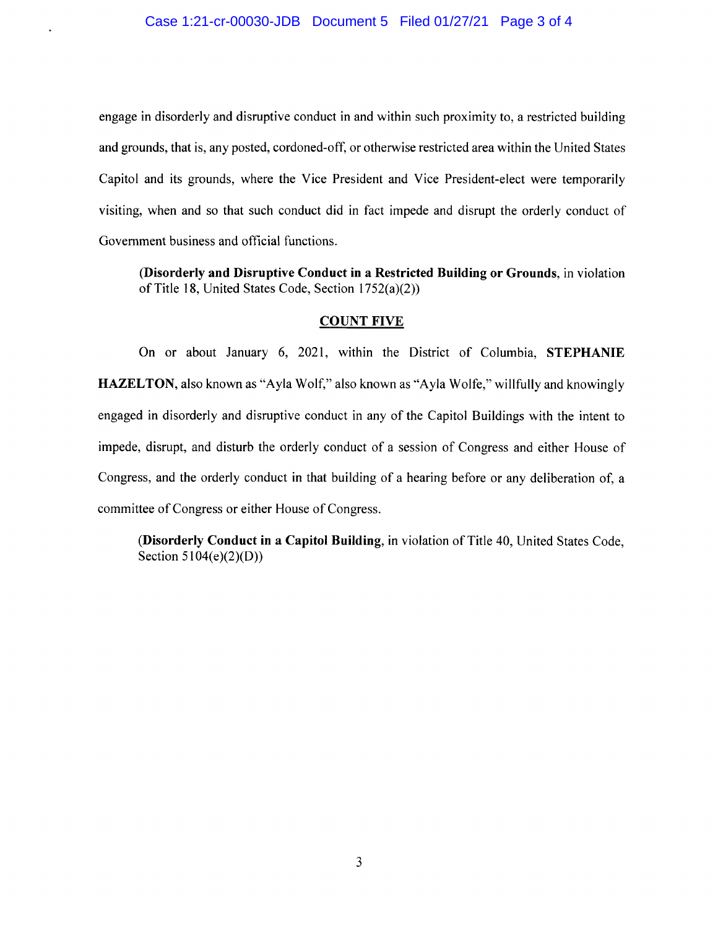engage in disorderly and disruptive conduct in and within such proximity to, a restricted building and grounds, that is, any posted, cordoned-off, or otherwise restricted area within the United States Capitol and its grounds, where the Vice President and Vice President-elect were temporarily visiting, when and so that such conduct did in fact impede and disrupt the orderly conduct of Government business and official functions.

**(Disorderly and Disruptive Conduct in a Restricted Building or Grounds,** in violation of Title 18, United States Code, Section 1752(a)(2))

#### **COUNT FIVE**

On or about January 6, 2021, within the District of Columbia, **STEPHANIE HAZELTON,** also known as "Ayla Wolf," also known as "Ayla Wolfe," willfully and knowingly engaged in disorderly and disruptive conduct in any of the Capitol Buildings with the intent to impede, disrupt, and disturb the orderly conduct of a session of Congress and either House of Congress, and the orderly conduct in that building of a hearing before or any deliberation of, <sup>a</sup> committee of Congress or either House of Congress.

**(Disorderly Conduct in a Capitol Building,** in violation of Title 40, United States Code, Section  $5104(e)(2)(D)$